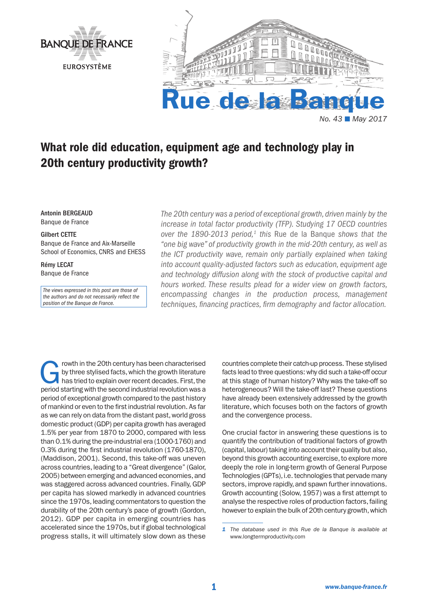



# What role did education, equipment age and technology play in 20th century productivity growth?

Antonin BERGEAUD Banque de France

#### Gilbert CETTE

Banque de France and Aix-Marseille School of Economics, CNRS and EHESS

Rémy LECAT Banque de France

*The views expressed in this post are those of the authors and do not necessarily reflect the position of the Banque de France.*

*The 20th century was a period of exceptional growth, driven mainly by the increase in total factor productivity (TFP). Studying 17 OECD countries over the 1890-2013 period,<sup>1</sup> this Rue de la Banque shows that the "one big wave" of productivity growth in the mid-20th century, as well as the ICT productivity wave, remain only partially explained when taking into account quality-adjusted factors such as education, equipment age and technology diffusion along with the stock of productive capital and hours worked. These results plead for a wider view on growth factors, encompassing changes in the production process, management techniques, financing practices, firm demography and factor allocation.*

Frowth in the 20th century has been characterised<br>by three stylised facts, which the growth literature<br>has tried to explain over recent decades. First, the<br>period starting with the second industrial revolution was a by three stylised facts, which the growth literature period starting with the second industrial revolution was a period of exceptional growth compared to the past history of mankind or even to the first industrial revolution. As far as we can rely on data from the distant past, world gross domestic product (GDP) per capita growth has averaged 1.5% per year from 1870 to 2000, compared with less than 0.1% during the pre-industrial era (1000-1760) and 0.3% during the first industrial revolution (1760-1870), (Maddison, 2001). Second, this take-off was uneven across countries, leading to a "Great divergence" (Galor, 2005) between emerging and advanced economies, and was staggered across advanced countries. Finally, GDP per capita has slowed markedly in advanced countries since the 1970s, leading commentators to question the durability of the 20th century's pace of growth (Gordon, 2012). GDP per capita in emerging countries has accelerated since the 1970s, but if global technological progress stalls, it will ultimately slow down as these

countries complete their catch-up process. These stylised facts lead to three questions: why did such a take-off occur at this stage of human history? Why was the take-off so heterogeneous? Will the take-off last? These questions have already been extensively addressed by the growth literature, which focuses both on the factors of growth and the convergence process.

One crucial factor in answering these questions is to quantify the contribution of traditional factors of growth (capital, labour) taking into account their quality but also, beyond this growth accounting exercise, to explore more deeply the role in long-term growth of General Purpose Technologies (GPTs), i.e. technologies that pervade many sectors, improve rapidly, and spawn further innovations. Growth accounting (Solow, 1957) was a first attempt to analyse the respective roles of production factors, failing however to explain the bulk of 20th century growth, which

*<sup>1</sup> The database used in this Rue de la Banque is available at*  www.longtermproductivity.com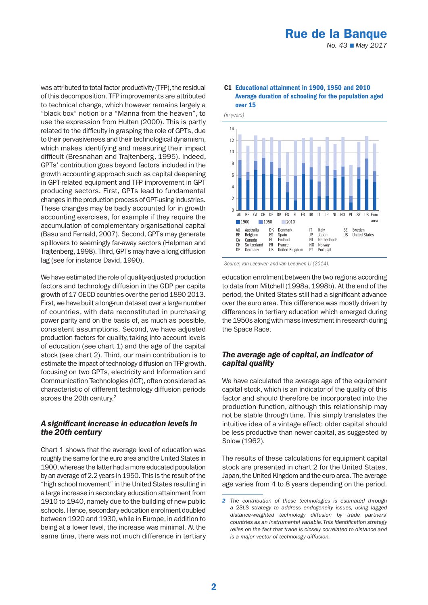was attributed to total factor productivity (TFP), the residual of this decomposition. TFP improvements are attributed to technical change, which however remains largely a "black box" notion or a "Manna from the heaven", to use the expression from Hulten (2000). This is partly related to the difficulty in grasping the role of GPTs, due to their pervasiveness and their technological dynamism, which makes identifying and measuring their impact difficult (Bresnahan and Trajtenberg, 1995). Indeed, GPTs' contribution goes beyond factors included in the growth accounting approach such as capital deepening in GPT-related equipment and TFP improvement in GPT producing sectors. First, GPTs lead to fundamental changes in the production process of GPT-using industries. These changes may be badly accounted for in growth accounting exercises, for example if they require the accumulation of complementary organisational capital (Basu and Fernald, 2007). Second, GPTs may generate spillovers to seemingly far-away sectors (Helpman and Trajtenberg, 1998). Third, GPTs may have a long diffusion lag (see for instance David, 1990).

We have estimated the role of quality-adjusted production factors and technology diffusion in the GDP per capita growth of 17 OECD countries over the period 1890-2013. First, we have built a long-run dataset over a large number of countries, with data reconstituted in purchasing power parity and on the basis of, as much as possible, consistent assumptions. Second, we have adjusted production factors for quality, taking into account levels of education (see chart 1) and the age of the capital stock (see chart 2). Third, our main contribution is to estimate the impact of technology diffusion on TFP growth, focusing on two GPTs, electricity and Information and Communication Technologies (ICT), often considered as characteristic of different technology diffusion periods across the 20th century.2

## *A significant increase in education levels in the 20th century*

Chart 1 shows that the average level of education was roughly the same for the euro area and the United States in 1900, whereas the latter had a more educated population by an average of 2.2 years in 1950. This is the result of the "high school movement" in the United States resulting in a large increase in secondary education attainment from 1910 to 1940, namely due to the building of new public schools. Hence, secondary education enrolment doubled between 1920 and 1930, while in Europe, in addition to being at a lower level, the increase was minimal. At the same time, there was not much difference in tertiary

#### C1 Educational attainment in 1900, 1950 and 2010 Average duration of schooling for the population aged over 15





education enrolment between the two regions according to data from Mitchell (1998a, 1998b). At the end of the period, the United States still had a significant advance over the euro area. This difference was mostly driven by differences in tertiary education which emerged during the 1950s along with mass investment in research during the Space Race.

# *The average age of capital, an indicator of capital quality*

We have calculated the average age of the equipment capital stock, which is an indicator of the quality of this factor and should therefore be incorporated into the production function, although this relationship may not be stable through time. This simply translates the intuitive idea of a vintage effect: older capital should be less productive than newer capital, as suggested by Solow (1962).

The results of these calculations for equipment capital stock are presented in chart 2 for the United States, Japan, the United Kingdom and the euro area. The average age varies from 4 to 8 years depending on the period.

*<sup>2</sup> The contribution of these technologies is estimated through a 2SLS strategy to address endogeneity issues, using lagged distance-weighted technology diffusion by trade partners' countries as an instrumental variable. This identification strategy relies on the fact that trade is closely correlated to distance and is a major vector of technology diffusion.*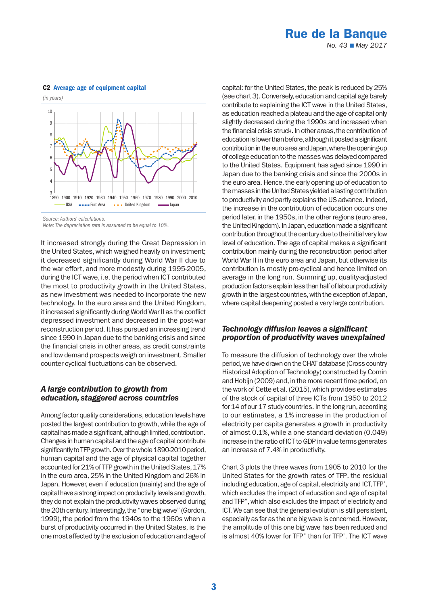# Rue de la Banque

*No. 43* ■ *May 2017*

#### C2 Average age of equipment capital



*Source: Authors' calculations.*

*Note: The depreciation rate is assumed to be equal to 10%.*

It increased strongly during the Great Depression in the United States, which weighed heavily on investment; it decreased significantly during World War II due to the war effort, and more modestly during 1995-2005, during the ICT wave, i.e. the period when ICT contributed the most to productivity growth in the United States, as new investment was needed to incorporate the new technology. In the euro area and the United Kingdom, it increased significantly during World War II as the conflict depressed investment and decreased in the post-war reconstruction period. It has pursued an increasing trend since 1990 in Japan due to the banking crisis and since the financial crisis in other areas, as credit constraints and low demand prospects weigh on investment. Smaller counter-cyclical fluctuations can be observed.

#### *A large contribution to growth from education, staggered across countries*

Among factor quality considerations, education levels have posted the largest contribution to growth, while the age of capital has made a significant, although limited, contribution. Changes in human capital and the age of capital contribute significantly to TFP growth. Over the whole 1890-2010 period, human capital and the age of physical capital together accounted for 21% of TFP growth in the United States, 17% in the euro area, 25% in the United Kingdom and 26% in Japan. However, even if education (mainly) and the age of capital have a strong impact on productivity levels and growth, they do not explain the productivity waves observed during the 20th century. Interestingly, the "one big wave" (Gordon, 1999), the period from the 1940s to the 1960s when a burst of productivity occurred in the United States, is the one most affected by the exclusion of education and age of capital: for the United States, the peak is reduced by 25% (see chart 3). Conversely, education and capital age barely contribute to explaining the ICT wave in the United States, as education reached a plateau and the age of capital only slightly decreased during the 1990s and increased when the financial crisis struck. In other areas, the contribution of education is lower than before, although it posted a significant contribution in the euro area and Japan, where the opening-up of college education to the masses was delayed compared to the United States. Equipment has aged since 1990 in Japan due to the banking crisis and since the 2000s in the euro area. Hence, the early opening up of education to the masses in the United States yielded a lasting contribution to productivity and partly explains the US advance. Indeed, the increase in the contribution of education occurs one period later, in the 1950s, in the other regions (euro area, the United Kingdom). In Japan, education made a significant contribution throughout the century due to the initial very low level of education. The age of capital makes a significant contribution mainly during the reconstruction period after World War II in the euro area and Japan, but otherwise its contribution is mostly pro-cyclical and hence limited on average in the long run. Summing up, quality-adjusted production factors explain less than half of labour productivity growth in the largest countries, with the exception of Japan, where capital deepening posted a very large contribution.

### *Technology diffusion leaves a significant proportion of productivity waves unexplained*

To measure the diffusion of technology over the whole period, we have drawn on the CHAT database (Cross-country Historical Adoption of Technology) constructed by Comin and Hobijn (2009) and, in the more recent time period, on the work of Cette et al. (2015), which provides estimates of the stock of capital of three ICTs from 1950 to 2012 for 14 of our 17 study-countries. In the long run, according to our estimates, a 1% increase in the production of electricity per capita generates a growth in productivity of almost 0.1%, while a one standard deviation (0.049) increase in the ratio of ICT to GDP in value terms generates an increase of 7.4% in productivity.

Chart 3 plots the three waves from 1905 to 2010 for the United States for the growth rates of TFP, the residual including education, age of capital, electricity and ICT, TFP', which excludes the impact of education and age of capital and TFP'', which also excludes the impact of electricity and ICT. We can see that the general evolution is still persistent, especially as far as the one big wave is concerned. However, the amplitude of this one big wave has been reduced and is almost 40% lower for TFP" than for TFP'. The ICT wave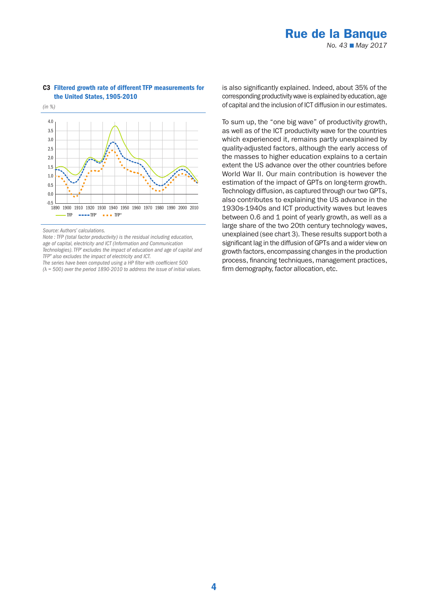# Rue de la Banque *No. 43* ■ *May 2017*



#### C3 Filtered growth rate of different TFP measurements for the United States, 1905-2010

*Source: Authors' calculations.*

*(*λ *= 500) over the period 1890-2010 to address the issue of initial values.*

is also significantly explained. Indeed, about 35% of the corresponding productivity wave is explained by education, age of capital and the inclusion of ICT diffusion in our estimates.

To sum up, the "one big wave" of productivity growth, as well as of the ICT productivity wave for the countries which experienced it, remains partly unexplained by quality-adjusted factors, although the early access of the masses to higher education explains to a certain extent the US advance over the other countries before World War II. Our main contribution is however the estimation of the impact of GPTs on long-term growth. Technology diffusion, as captured through our two GPTs, also contributes to explaining the US advance in the 1930s-1940s and ICT productivity waves but leaves between 0.6 and 1 point of yearly growth, as well as a large share of the two 20th century technology waves, unexplained (see chart 3). These results support both a significant lag in the diffusion of GPTs and a wider view on growth factors, encompassing changes in the production process, financing techniques, management practices, firm demography, factor allocation, etc.

*Note : TFP (total factor productivity) is the residual including education, age of capital, electricity and ICT (Information and Communication Technologies). TFP' excludes the impact of education and age of capital and TFP'' also excludes the impact of electricity and ICT. The series have been computed using a HP filter with coefficient 500*